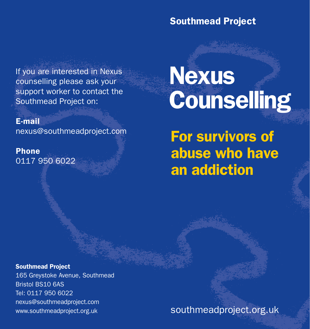## Southmead Project

If you are interested in Nexus counselling please ask your support worker to contact the Southmead Project on:

E-mail

nexus@southmeadproject.com

Phone 0117 950 6022

## Nexus **Counselling**

For survivors of abuse who have an addiction

## Southmead Project

165 Greystoke Avenue, Southmead Bristol BS10 6AS Tel: 0117 950 6022 nexus@southmeadproject.com www.southmeadproject.org.uk

southmeadproject.org.uk